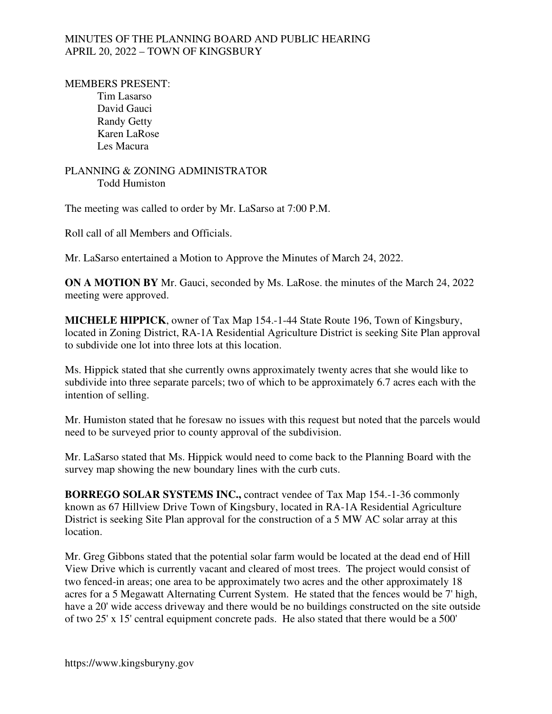### MINUTES OF THE PLANNING BOARD AND PUBLIC HEARING APRIL 20, 2022 – TOWN OF KINGSBURY

#### MEMBERS PRESENT:

 Tim Lasarso David Gauci Randy Getty Karen LaRose Les Macura

### PLANNING & ZONING ADMINISTRATOR Todd Humiston

The meeting was called to order by Mr. LaSarso at 7:00 P.M.

Roll call of all Members and Officials.

Mr. LaSarso entertained a Motion to Approve the Minutes of March 24, 2022.

**ON A MOTION BY** Mr. Gauci, seconded by Ms. LaRose. the minutes of the March 24, 2022 meeting were approved.

**MICHELE HIPPICK**, owner of Tax Map 154.-1-44 State Route 196, Town of Kingsbury, located in Zoning District, RA-1A Residential Agriculture District is seeking Site Plan approval to subdivide one lot into three lots at this location.

Ms. Hippick stated that she currently owns approximately twenty acres that she would like to subdivide into three separate parcels; two of which to be approximately 6.7 acres each with the intention of selling.

Mr. Humiston stated that he foresaw no issues with this request but noted that the parcels would need to be surveyed prior to county approval of the subdivision.

Mr. LaSarso stated that Ms. Hippick would need to come back to the Planning Board with the survey map showing the new boundary lines with the curb cuts.

**BORREGO SOLAR SYSTEMS INC.,** contract vendee of Tax Map 154.-1-36 commonly known as 67 Hillview Drive Town of Kingsbury, located in RA-1A Residential Agriculture District is seeking Site Plan approval for the construction of a 5 MW AC solar array at this location.

Mr. Greg Gibbons stated that the potential solar farm would be located at the dead end of Hill View Drive which is currently vacant and cleared of most trees. The project would consist of two fenced-in areas; one area to be approximately two acres and the other approximately 18 acres for a 5 Megawatt Alternating Current System. He stated that the fences would be 7' high, have a 20' wide access driveway and there would be no buildings constructed on the site outside of two 25' x 15' central equipment concrete pads. He also stated that there would be a 500'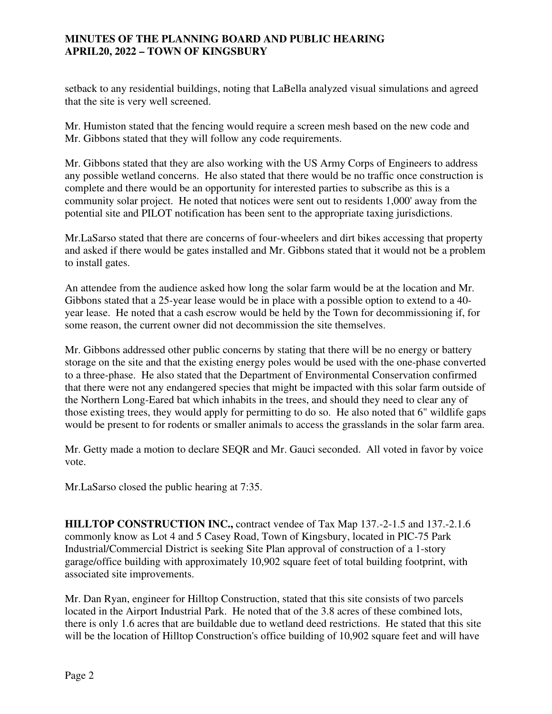## **MINUTES OF THE PLANNING BOARD AND PUBLIC HEARING APRIL20, 2022 – TOWN OF KINGSBURY**

setback to any residential buildings, noting that LaBella analyzed visual simulations and agreed that the site is very well screened.

Mr. Humiston stated that the fencing would require a screen mesh based on the new code and Mr. Gibbons stated that they will follow any code requirements.

Mr. Gibbons stated that they are also working with the US Army Corps of Engineers to address any possible wetland concerns. He also stated that there would be no traffic once construction is complete and there would be an opportunity for interested parties to subscribe as this is a community solar project. He noted that notices were sent out to residents 1,000' away from the potential site and PILOT notification has been sent to the appropriate taxing jurisdictions.

Mr.LaSarso stated that there are concerns of four-wheelers and dirt bikes accessing that property and asked if there would be gates installed and Mr. Gibbons stated that it would not be a problem to install gates.

An attendee from the audience asked how long the solar farm would be at the location and Mr. Gibbons stated that a 25-year lease would be in place with a possible option to extend to a 40 year lease. He noted that a cash escrow would be held by the Town for decommissioning if, for some reason, the current owner did not decommission the site themselves.

Mr. Gibbons addressed other public concerns by stating that there will be no energy or battery storage on the site and that the existing energy poles would be used with the one-phase converted to a three-phase. He also stated that the Department of Environmental Conservation confirmed that there were not any endangered species that might be impacted with this solar farm outside of the Northern Long-Eared bat which inhabits in the trees, and should they need to clear any of those existing trees, they would apply for permitting to do so. He also noted that 6" wildlife gaps would be present to for rodents or smaller animals to access the grasslands in the solar farm area.

Mr. Getty made a motion to declare SEQR and Mr. Gauci seconded. All voted in favor by voice vote.

Mr.LaSarso closed the public hearing at 7:35.

**HILLTOP CONSTRUCTION INC.,** contract vendee of Tax Map 137.-2-1.5 and 137.-2.1.6 commonly know as Lot 4 and 5 Casey Road, Town of Kingsbury, located in PIC-75 Park Industrial/Commercial District is seeking Site Plan approval of construction of a 1-story garage/office building with approximately 10,902 square feet of total building footprint, with associated site improvements.

Mr. Dan Ryan, engineer for Hilltop Construction, stated that this site consists of two parcels located in the Airport Industrial Park. He noted that of the 3.8 acres of these combined lots, there is only 1.6 acres that are buildable due to wetland deed restrictions. He stated that this site will be the location of Hilltop Construction's office building of 10,902 square feet and will have